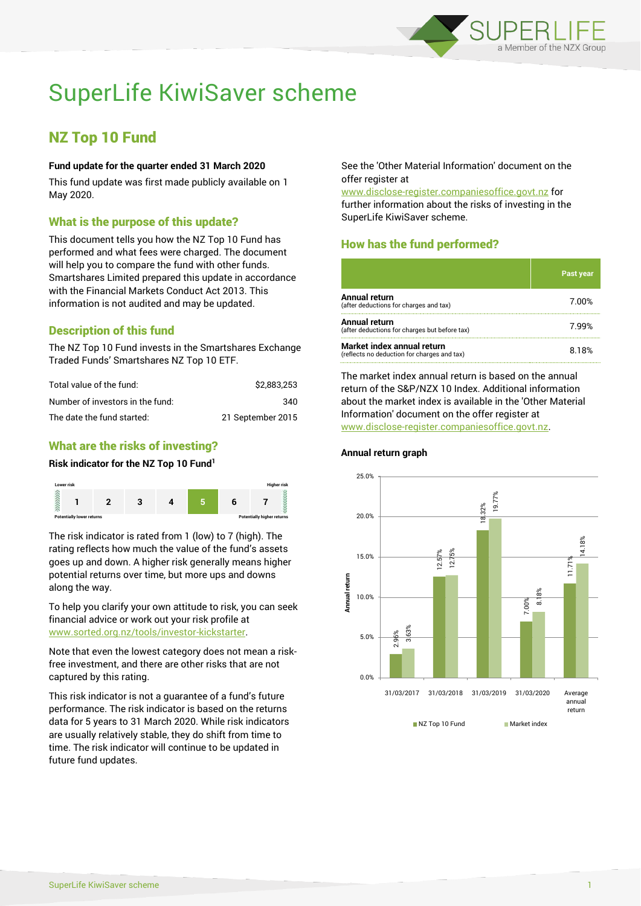

# SuperLife KiwiSaver scheme

## NZ Top 10 Fund

#### **Fund update for the quarter ended 31 March 2020**

This fund update was first made publicly available on 1 May 2020.

#### What is the purpose of this update?

This document tells you how the NZ Top 10 Fund has performed and what fees were charged. The document will help you to compare the fund with other funds. Smartshares Limited prepared this update in accordance with the Financial Markets Conduct Act 2013. This information is not audited and may be updated.

## Description of this fund

The NZ Top 10 Fund invests in the Smartshares Exchange Traded Funds' Smartshares NZ Top 10 ETF.

| Total value of the fund:         | \$2,883,253       |
|----------------------------------|-------------------|
| Number of investors in the fund: | 340               |
| The date the fund started:       | 21 September 2015 |

### What are the risks of investing?

#### **Risk indicator for the NZ Top 10 Fund<sup>1</sup>**



The risk indicator is rated from 1 (low) to 7 (high). The rating reflects how much the value of the fund's assets goes up and down. A higher risk generally means higher potential returns over time, but more ups and downs along the way.

To help you clarify your own attitude to risk, you can seek financial advice or work out your risk profile at [www.sorted.org.nz/tools/investor-kickstarter.](http://www.sorted.org.nz/tools/investor-kickstarter)

Note that even the lowest category does not mean a riskfree investment, and there are other risks that are not captured by this rating.

This risk indicator is not a guarantee of a fund's future performance. The risk indicator is based on the returns data for 5 years to 31 March 2020. While risk indicators are usually relatively stable, they do shift from time to time. The risk indicator will continue to be updated in future fund updates.

See the 'Other Material Information' document on the offer register at

www.disclose-register.companiesoffice.govt.nz for further information about the risks of investing in the SuperLife KiwiSaver scheme.

## How has the fund performed?

|                                                                           | <b>Past year</b> |
|---------------------------------------------------------------------------|------------------|
| Annual return<br>(after deductions for charges and tax)                   | 7.00%            |
| Annual return<br>(after deductions for charges but before tax)            | 7.99%            |
| Market index annual return<br>(reflects no deduction for charges and tax) | 8.18%            |

The market index annual return is based on the annual return of the S&P/NZX 10 Index. Additional information about the market index is available in the 'Other Material Information' document on the offer register at www.disclose-register.companiesoffice.govt.nz.



#### **Annual return graph**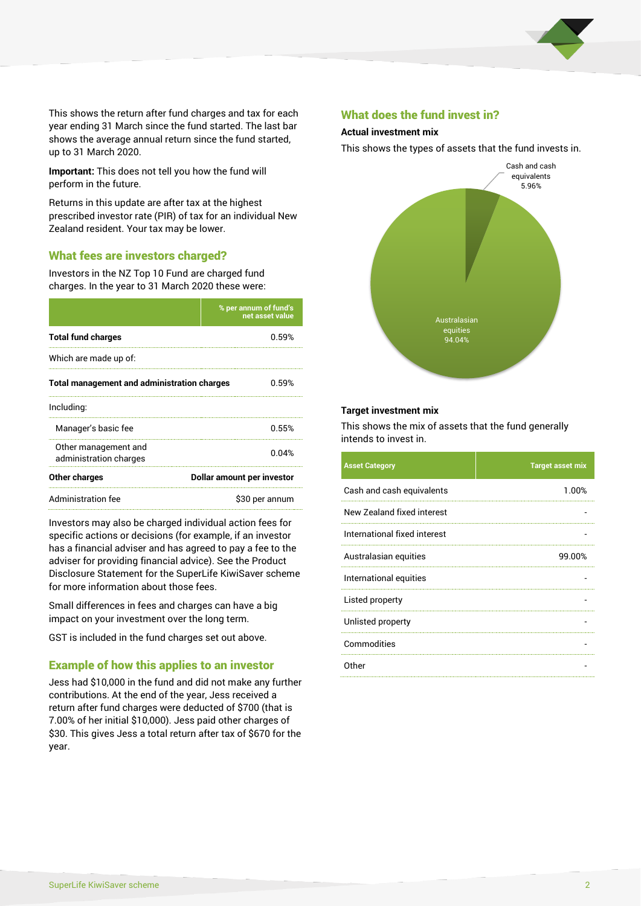

This shows the return after fund charges and tax for each year ending 31 March since the fund started. The last bar shows the average annual return since the fund started, up to 31 March 2020.

**Important:** This does not tell you how the fund will perform in the future.

Returns in this update are after tax at the highest prescribed investor rate (PIR) of tax for an individual New Zealand resident. Your tax may be lower.

#### What fees are investors charged?

Investors in the NZ Top 10 Fund are charged fund charges. In the year to 31 March 2020 these were:

|                                                    | % per annum of fund's<br>net asset value |  |  |
|----------------------------------------------------|------------------------------------------|--|--|
| <b>Total fund charges</b>                          | 0.59%                                    |  |  |
| Which are made up of:                              |                                          |  |  |
| <b>Total management and administration charges</b> | 0.59%                                    |  |  |
| Including:                                         |                                          |  |  |
| Manager's basic fee                                | 0.55%                                    |  |  |
| Other management and<br>administration charges     | 0.04%                                    |  |  |
| Other charges                                      | Dollar amount per investor               |  |  |
| Administration fee                                 | \$30 per annum                           |  |  |

Investors may also be charged individual action fees for specific actions or decisions (for example, if an investor has a financial adviser and has agreed to pay a fee to the adviser for providing financial advice). See the Product Disclosure Statement for the SuperLife KiwiSaver scheme for more information about those fees.

Small differences in fees and charges can have a big impact on your investment over the long term.

GST is included in the fund charges set out above.

#### Example of how this applies to an investor

Jess had \$10,000 in the fund and did not make any further contributions. At the end of the year, Jess received a return after fund charges were deducted of \$700 (that is 7.00% of her initial \$10,000). Jess paid other charges of \$30. This gives Jess a total return after tax of \$670 for the year.

#### What does the fund invest in?

#### **Actual investment mix**

This shows the types of assets that the fund invests in.



#### **Target investment mix**

This shows the mix of assets that the fund generally intends to invest in.

| <b>Asset Category</b>        | <b>Target asset mix</b> |
|------------------------------|-------------------------|
| Cash and cash equivalents    | 1.00%                   |
| New Zealand fixed interest   |                         |
| International fixed interest |                         |
| Australasian equities        | 99.00%                  |
| International equities       |                         |
| Listed property              |                         |
| Unlisted property            |                         |
| Commodities                  |                         |
| Other                        |                         |